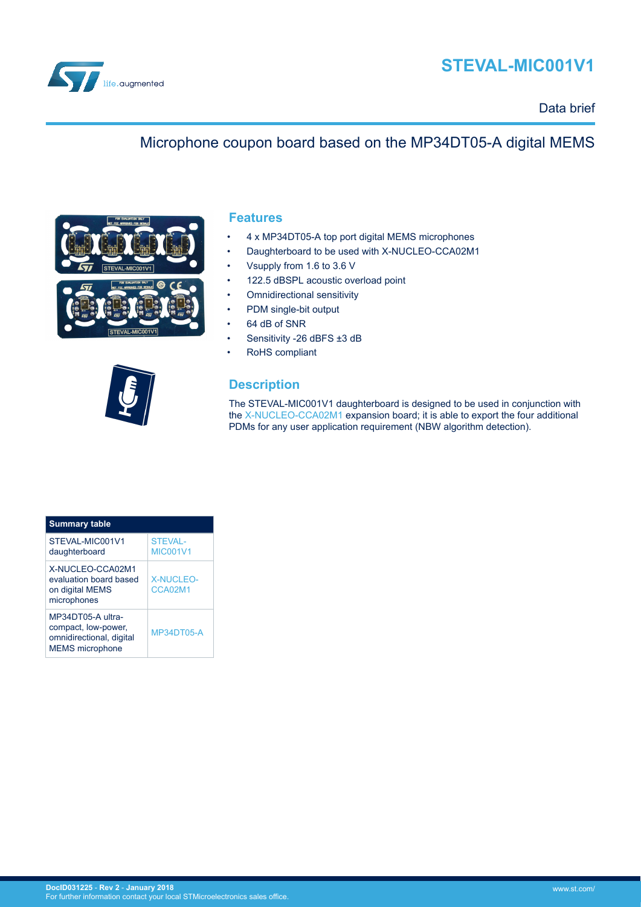

# **STEVAL-MIC001V1**

Data brief

### Microphone coupon board based on the MP34DT05-A digital MEMS



#### **Features**

- 4 x MP34DT05-A top port digital MEMS microphones
- Daughterboard to be used with X-NUCLEO-CCA02M1
- Vsupply from 1.6 to 3.6 V
- 122.5 dBSPL acoustic overload point
- **Omnidirectional sensitivity**
- PDM single-bit output
- 64 dB of SNR
- Sensitivity -26 dBFS ±3 dB
- RoHS compliant

### **Description**

The STEVAL-MIC001V1 daughterboard is designed to be used in conjunction with the [X-NUCLEO-CCA02M1](http://www.st.com/content/st_com/en/products/ecosystems/stm32-open-development-environment/stm32-nucleo-expansion-boards/stm32-ode-sense-hw/x-nucleo-cca02m1.html) expansion board; it is able to export the four additional PDMs for any user application requirement (NBW algorithm detection).

| <b>Summary table</b>                                                                           |                             |
|------------------------------------------------------------------------------------------------|-----------------------------|
| STEVAL-MIC001V1<br>daughterboard                                                               | STFVAI-<br><b>MIC001V1</b>  |
| X-NUCLEO-CCA02M1<br>evaluation board based<br>on digital MEMS<br>microphones                   | <b>X-NUCLEO-</b><br>CCA02M1 |
| MP34DT05-A ultra-<br>compact, low-power,<br>omnidirectional, digital<br><b>MEMS</b> microphone | <b>MP34DT05-A</b>           |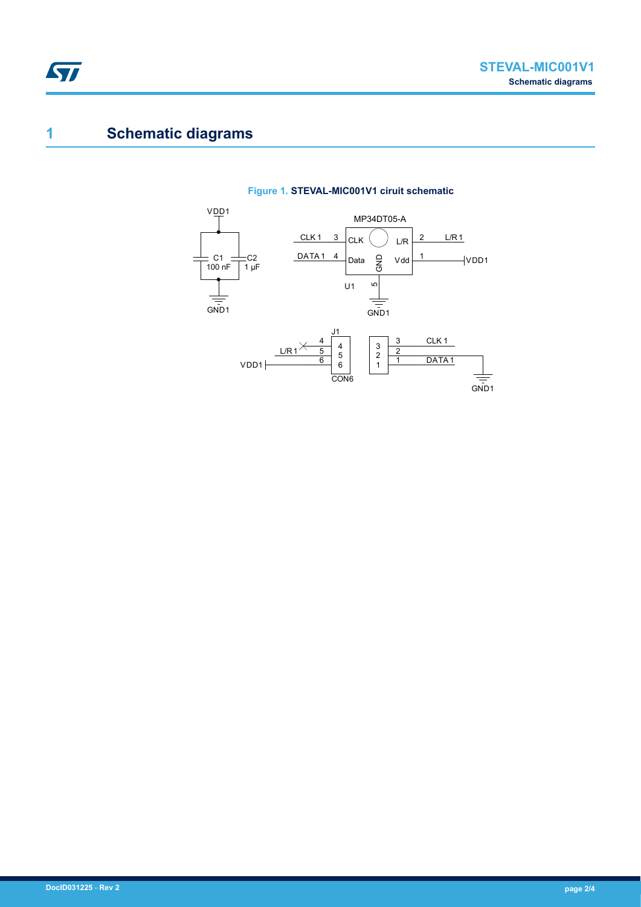## **1 Schematic diagrams**



### **Figure 1. STEVAL-MIC001V1 ciruit schematic**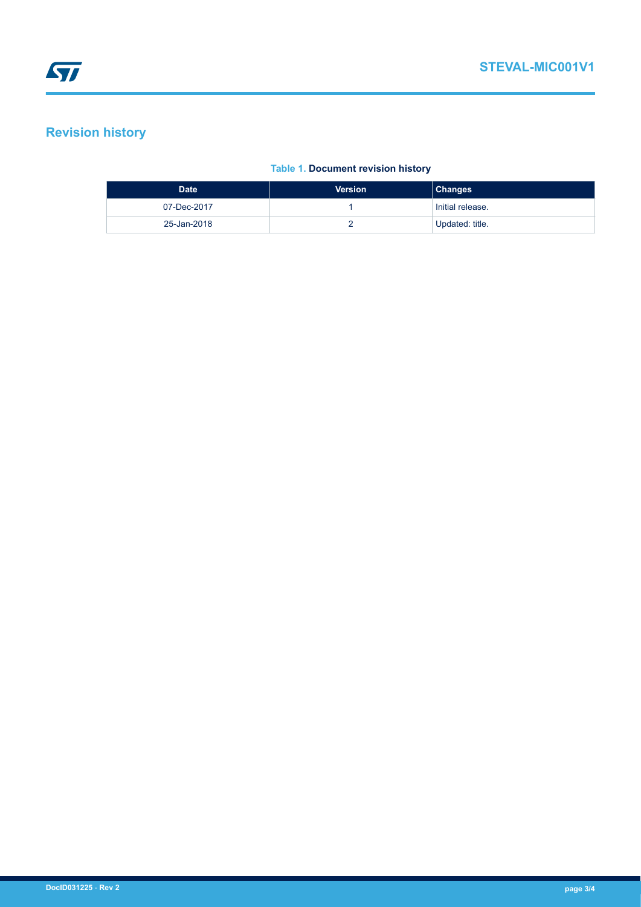## **Revision history**

### **Table 1. Document revision history**

| <b>Date</b> | <b>Version</b> | <b>Changes</b>   |
|-------------|----------------|------------------|
| 07-Dec-2017 |                | Initial release. |
| 25-Jan-2018 |                | Updated: title.  |